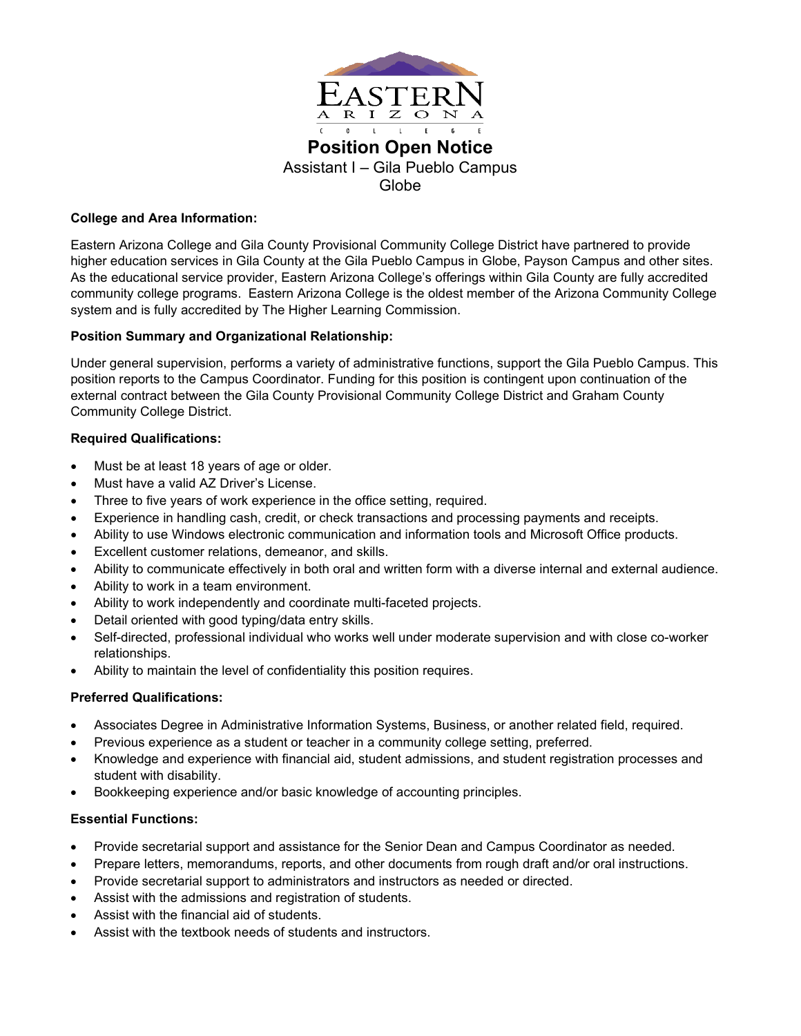

**Position Open Notice** Assistant I – Gila Pueblo Campus Globe

## **College and Area Information:**

Eastern Arizona College and Gila County Provisional Community College District have partnered to provide higher education services in Gila County at the Gila Pueblo Campus in Globe, Payson Campus and other sites. As the educational service provider, Eastern Arizona College's offerings within Gila County are fully accredited community college programs. Eastern Arizona College is the oldest member of the Arizona Community College system and is fully accredited by The Higher Learning Commission.

## **Position Summary and Organizational Relationship:**

Under general supervision, performs a variety of administrative functions, support the Gila Pueblo Campus. This position reports to the Campus Coordinator. Funding for this position is contingent upon continuation of the external contract between the Gila County Provisional Community College District and Graham County Community College District.

# **Required Qualifications:**

- Must be at least 18 years of age or older.
- Must have a valid AZ Driver's License.
- Three to five years of work experience in the office setting, required.
- Experience in handling cash, credit, or check transactions and processing payments and receipts.
- Ability to use Windows electronic communication and information tools and Microsoft Office products.
- Excellent customer relations, demeanor, and skills.
- Ability to communicate effectively in both oral and written form with a diverse internal and external audience.
- Ability to work in a team environment.
- Ability to work independently and coordinate multi-faceted projects.
- Detail oriented with good typing/data entry skills.
- Self-directed, professional individual who works well under moderate supervision and with close co-worker relationships.
- Ability to maintain the level of confidentiality this position requires.

### **Preferred Qualifications:**

- Associates Degree in Administrative Information Systems, Business, or another related field, required.
- Previous experience as a student or teacher in a community college setting, preferred.
- Knowledge and experience with financial aid, student admissions, and student registration processes and student with disability.
- Bookkeeping experience and/or basic knowledge of accounting principles.

### **Essential Functions:**

- Provide secretarial support and assistance for the Senior Dean and Campus Coordinator as needed.
- Prepare letters, memorandums, reports, and other documents from rough draft and/or oral instructions.
- Provide secretarial support to administrators and instructors as needed or directed.
- Assist with the admissions and registration of students.
- Assist with the financial aid of students.
- Assist with the textbook needs of students and instructors.